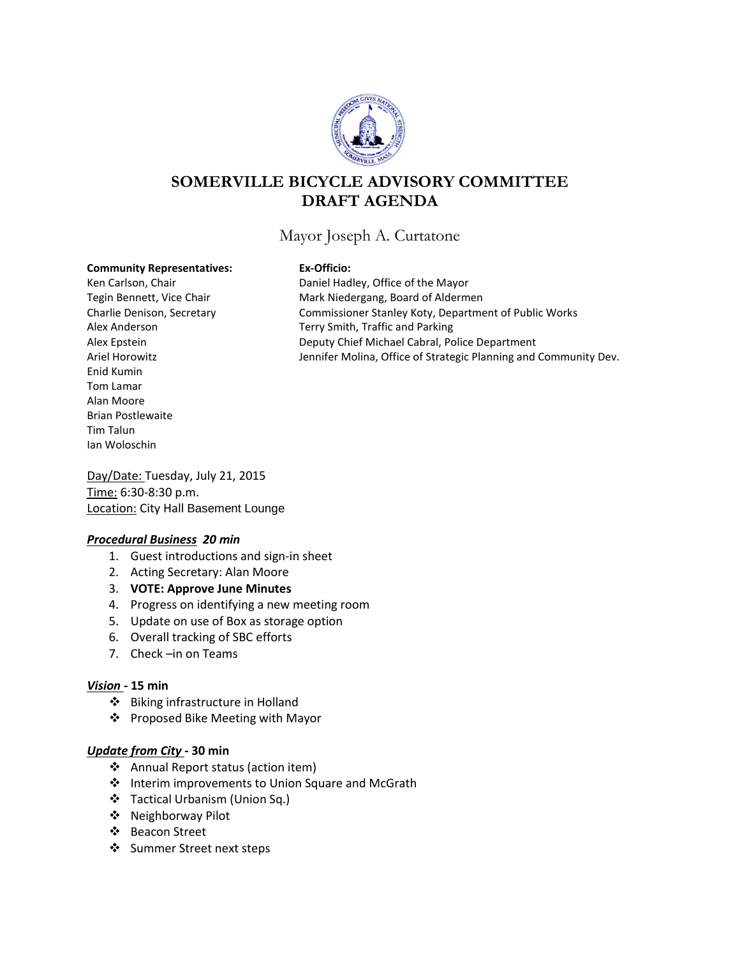

# **SOMERVILLE BICYCLE ADVISORY COMMITTEE DRAFT AGENDA**

## Mayor Joseph A. Curtatone

#### **Community Representatives: Ex-Officio:**

Enid Kumin Tom Lamar Alan Moore Brian Postlewaite Tim Talun Ian Woloschin

Ken Carlson, Chair **Nation** Daniel Hadley, Office of the Mayor Tegin Bennett, Vice Chair **Mark Niedergang, Board of Aldermen** Charlie Denison, Secretary Commissioner Stanley Koty, Department of Public Works Alex Anderson Terry Smith, Traffic and Parking Alex Epstein Deputy Chief Michael Cabral, Police Department Ariel Horowitz **Jennifer Molina, Office of Strategic Planning and Community Dev.** 

Day/Date: Tuesday, July 21, 2015 Time: 6:30-8:30 p.m. Location: City Hall Basement Lounge

#### *Procedural Business 20 min*

- 1. Guest introductions and sign-in sheet
- 2. Acting Secretary: Alan Moore
- 3. **VOTE: Approve June Minutes**
- 4. Progress on identifying a new meeting room
- 5. Update on use of Box as storage option
- 6. Overall tracking of SBC efforts
- 7. Check –in on Teams

#### *Vision -* **15 min**

- Biking infrastructure in Holland
- ❖ Proposed Bike Meeting with Mayor

#### *Update from City* **- 30 min**

- ❖ Annual Report status (action item)
- ❖ Interim improvements to Union Square and McGrath
- Tactical Urbanism (Union Sq.)
- Neighborway Pilot
- Beacon Street
- Summer Street next steps